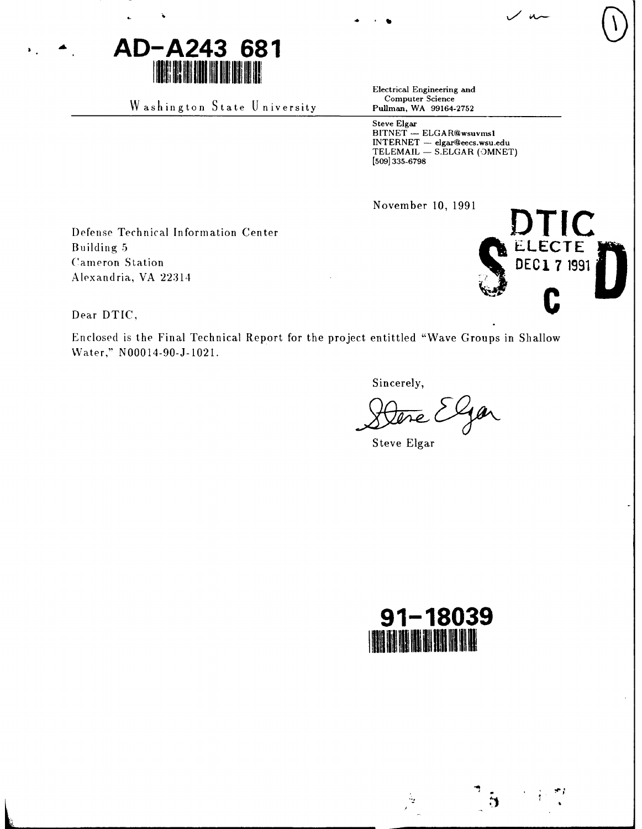

Washington State University

Electrical Engineering and Computer Science Pullman, WA 99164-2752

Steve Elgar BITNET - ELGAR@wsuvms1<br>INTERNET - elgar@eecs.wsu.edu<br>TELEMAIL - S.ELGAR (OMNET) [509] 335-6798

November 10, 1991

Defense Technical Information Center Building 5 **Cameron** Station Alexandria, VA 22314



 $/$  u

Dear DTIC,

Enclosed is the Final Technical Report for the project entittled "Wave Groups in Shallow Water," N00014-90-J-1021.

Sincerely,

Gar

Steve Elgar



 $\mathcal{L}_{\mathbf{Z}}$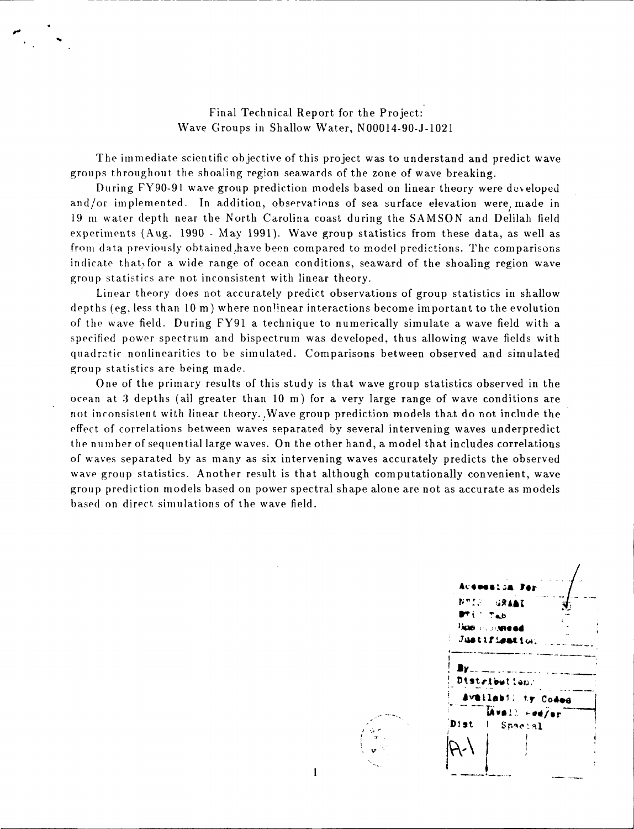Final Technical Report for the Project: Wave Groups in Shallow Water, N00014-90-J-1021

The immediate scientific objective of this project was to understand and predict wave groups throughout the shoaling region seawards of the zone of wave breaking.

During FY90-91 wave group prediction models based on linear theory were developed and/or implemented. In addition, observations of sea surface elevation were, made in 19 m water depth near the North Carolina coast during the SAMSON and Delilah field experiments (Aug. 1990 - May 1991). Wave group statistics from these data, as well as from data previously obtained have been compared to model predictions. The comparisons indicate that, for a wide range of ocean conditions, seaward of the shoaling region wave group statistics are not inconsistent with linear theory.

Linear theory does not accurately predict observations of group statistics in shallow depths (eg, less than **10** m) where nonlinear interactions become important to the evolution of the wave field. During FY91 a technique to numerically simulate a wave field with a specified power spectrum and bispectrum was developed, thus allowing wave fields with quadratic nonlinearities to be simulated. Comparisons between observed and simulated group statistics are being made.

One of the primary results of this study is that wave group statistics observed in the ocean at 3 depths (all greater than 10 m) for a very large range of wave conditions are not inconsistent with linear theory. Wave group prediction models that do not include the effect of correlations between waves separated by several intervening waves underpredict the number of sequential large waves. On the other hand, a model that includes correlations of waves separated by as many as six intervening waves accurately predicts the observed wave group statistics. Another result is that although computationally convenient, wave group prediction models based on power spectral shape alone are not as accurate as models based on direct simulations of the wave field.

 $\mathbf{1}$ 

**N~. !.** /-. .<br>1068: JA Par Juntifiamti **wised hvstlabl!** ty C0odee - **ist I** $S<sub>P3</sub>c<sub>1</sub>q$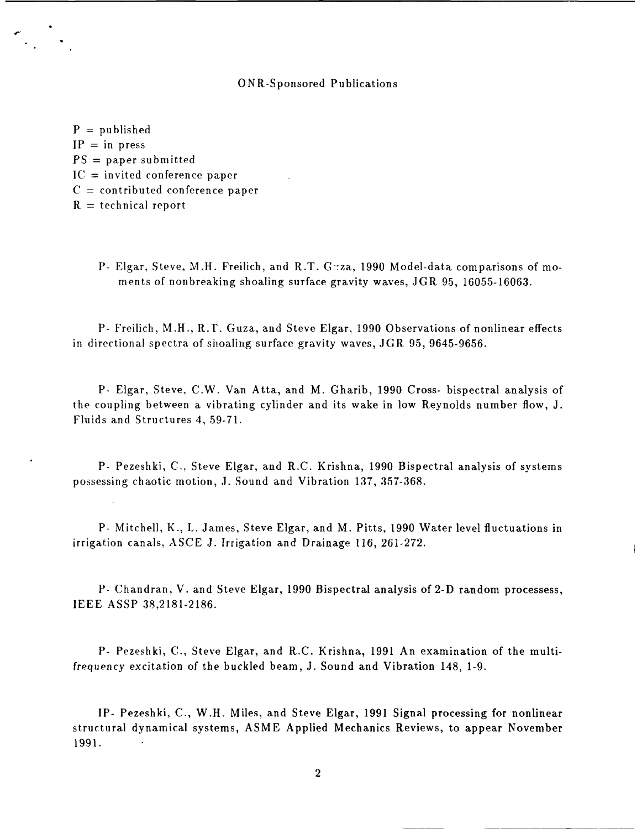## ONR-Sponsored Publications

 $P =$  published  $IP = in press$  $PS = paper$  submitted **IC** = invited conference paper  $C =$  contributed conference paper  $R =$  technical report

> P- Elgar, Steve, M.H. Freilich, and R.T. Guza, 1990 Model-data comparisons of moments of nonbreaking shoaling surface gravity waves, JGR 95, 16055-16063.

P- Freilich, M.H., R.T. Guza, and Steve Elgar, 1990 Observations of nonlinear effects in directional spectra of shoaling surface gravity waves, **JGR** 95, 9645-9656.

P- Elgar, Steve, C.W. Van Atta, and M. Gharib, 1990 Cross- bispectral analysis of the coupling between a vibrating cylinder and its wake in low Reynolds number flow, J. Fluids and Structures 4, 59-71.

P- Pezeshki, C., Steve Elgar, and R.C. Krishna, 1990 Bispectral analysis of systems possessing chaotic motion, J. Sound and Vibration 137, 357-368.

P- Mitchell, K., L. James, Steve Elgar, and M. Pitts, 1990 Water level fluctuations in irrigation canals, ASCE J. Irrigation and Drainage 116, 261-272.

P- Chandran, V. and Steve Elgar, 1990 Bispectral analysis of 2-D random processess, IEEE ASSP 38,2181-2186.

P- Pezeshki, C., Steve Elgar, and R.C. Krishna, 1991 An examination of the multifrequency excitation of the buckled beam, **J.** Sound and Vibration 148, 1-9.

IP- Pezeshki, C., W.H. Miles, and Steve Elgar, 1991 Signal processing for nonlinear structural dynamical systems, ASME Applied Mechanics Reviews, to appear November 1991.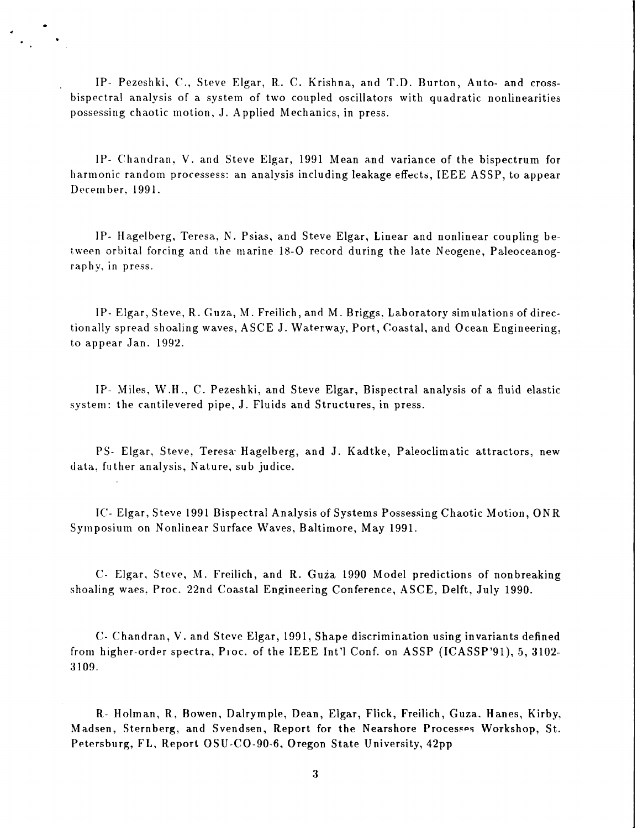IP- Pezeshki, C., Steve Elgar, R. C. Krishna, and T.D. Burton, Auto- and crossbispectral analysis of a system of two coupled oscillators with quadratic nonlinearities possessing chaotic motion, J. Applied Mechanics, in press.

IP- Chandran. V. and Steve Elgar, 1991 Mean and variance of the bispectrum for harmonic random processess: an analysis including leakage effects, IEEE ASSP, to appear December, 1991.

IP- Hagelberg, Teresa, N. Psias, and Steve Elgar, Linear and nonlinear coupling between orbital forcing and the marine 18-0 record during the late Neogene, Paleoceanographv, in press.

IP- Elgar, Steve, R. Guza, M. Freilich, and M. Briggs, Laboratory simulations of directionally spread shoaling waves, ASCE J. Waterway, Port, Coastal, and Ocean Engineering, to appear Jan. 1992.

IP- Miles, W.H., C. Pezeshki, and Steve Elgar, Bispectral analysis of a fluid elastic system: the cantilevered pipe, J. Fluids and Structures, in press.

PS- Elgar, Steve, Teresa- Hagelberg, and J. Kadtke, Paleoclimatic attractors, new data, futher analysis, Nature, sub judice.

IC- Elgar, Steve 1991 Bispectral Analysis of Systems Possessing Chaotic Motion, ONR Symposium on Nonlinear Surface Waves, Baltimore, May 1991.

C. Elgar, Steve, M. Freilich, and R. Guza 1990 Model predictions of nonbreaking shoaling waes, Proc. 22nd Coastal Engineering Conference, ASCE, Delft, July 1990.

C- Chandran, V. and Steve Elgar, 1991, Shape discrimination using invariants defined from higher-order spectra, Proc. of the IEEE Int'l Conf. on ASSP (ICASSP'91), 5, 3102- 3109.

R- Holman, R, Bowen, Dalrymple, Dean, Elgar, Flick, Freilich, Guza. Hanes, Kirby, Madsen, Sternberg, and Svendsen, Report for the Nearshore Processes Workshop, St. Petersburg, FL, Report OSU-CO-90-6, Oregon State University, 42pp